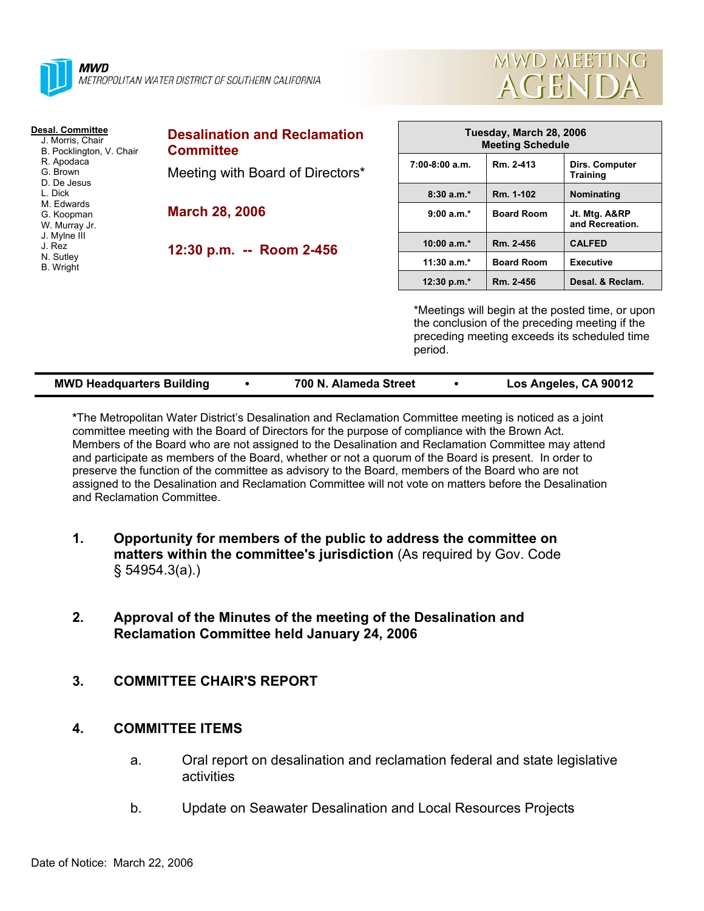



| <b>Desal. Committee</b><br>J. Morris, Chair<br>B. Pocklington, V. Chair<br>R. Apodaca<br>G. Brown<br>D. De Jesus<br>L. Dick<br>M. Edwards<br>G. Koopman<br>W. Murray Jr.<br>J. Mylne III<br>J. Rez<br>N. Sutley<br>B. Wright | <b>Desalination and Reclamation</b><br><b>Committee</b>   | Tuesday, March 28, 2006<br><b>Meeting Schedule</b>                                                                                                            |                   |                                   |  |
|------------------------------------------------------------------------------------------------------------------------------------------------------------------------------------------------------------------------------|-----------------------------------------------------------|---------------------------------------------------------------------------------------------------------------------------------------------------------------|-------------------|-----------------------------------|--|
|                                                                                                                                                                                                                              | Meeting with Board of Directors*<br><b>March 28, 2006</b> | $7:00-8:00$ a.m.                                                                                                                                              | Rm. 2-413         | Dirs. Computer<br><b>Training</b> |  |
|                                                                                                                                                                                                                              |                                                           | $8:30a.m.*$                                                                                                                                                   | Rm. 1-102         | Nominating                        |  |
|                                                                                                                                                                                                                              |                                                           | $9:00 a.m.*$                                                                                                                                                  | <b>Board Room</b> | Jt. Mtg. A&RP<br>and Recreation.  |  |
|                                                                                                                                                                                                                              | 12:30 p.m. -- Room 2-456                                  | $10:00 a.m.*$                                                                                                                                                 | Rm. 2-456         | <b>CALFED</b>                     |  |
|                                                                                                                                                                                                                              |                                                           | $11:30 a.m.*$                                                                                                                                                 | <b>Board Room</b> | <b>Executive</b>                  |  |
|                                                                                                                                                                                                                              |                                                           | 12:30 p.m.*                                                                                                                                                   | Rm. 2-456         | Desal. & Reclam.                  |  |
|                                                                                                                                                                                                                              |                                                           | *Meetings will begin at the posted time, or upon<br>the conclusion of the preceding meeting if the<br>preceding meeting exceeds its scheduled time<br>period. |                   |                                   |  |

| <b>MWD Headquarters Building</b> |  | 700 N. Alameda Street |  | Los Angeles, CA 90012 |
|----------------------------------|--|-----------------------|--|-----------------------|
|----------------------------------|--|-----------------------|--|-----------------------|

**\***The Metropolitan Water District's Desalination and Reclamation Committee meeting is noticed as a joint committee meeting with the Board of Directors for the purpose of compliance with the Brown Act. Members of the Board who are not assigned to the Desalination and Reclamation Committee may attend and participate as members of the Board, whether or not a quorum of the Board is present. In order to preserve the function of the committee as advisory to the Board, members of the Board who are not assigned to the Desalination and Reclamation Committee will not vote on matters before the Desalination and Reclamation Committee.

- **1. Opportunity for members of the public to address the committee on matters within the committee's jurisdiction** (As required by Gov. Code § 54954.3(a).)
- **2. Approval of the Minutes of the meeting of the Desalination and Reclamation Committee held January 24, 2006**
- **3. COMMITTEE CHAIR'S REPORT**

## **4. COMMITTEE ITEMS**

- a. Oral report on desalination and reclamation federal and state legislative activities
- b. Update on Seawater Desalination and Local Resources Projects